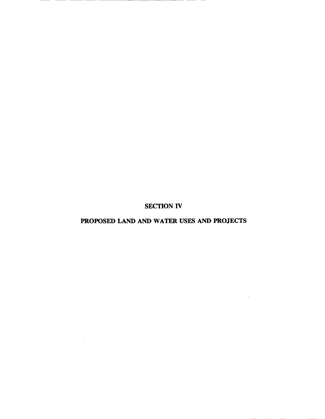SECTION IV

# PROPOSED LAND AND WATER USES AND PROJECTS

 $\sim$ 

 $\mathcal{L}$ 

 $\bar{\phantom{a}}$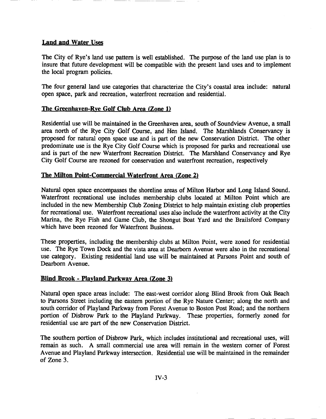## Land and Water Uses

The City of Rye's land use pattern is well established. The purpose of the land use plan is to insure that future development will be compatible with the present land uses and to implement the local program policies.

The four general land use categories that characterize the City's coastal area include: natural open space, park and recreation, waterfront recreation and residential.

## The Greenhaven-Rye Golf Club Area (Zone 1)

Residential use will be maintained in the Greenhaven area, south of Soundview Avenue, a small area north of the Rye City Golf Course, and Hen Island. The Marshlands Conservancy is proposed for natural open space use and is part of the new Conservation District. The other predominate use is the Rye City Golf Course which is proposed for parks and recreational use and is part of the new Waterfront Recreation District. The Marshland Conservancy and Rye City Golf Course are rezoned for conservation and waterfront recreation, respectively

## The Milton Point-Commercial Waterfront Area (Zone 2)

Natural open space encompasses the shoreline areas of Milton Harbor and Long Island Sound. Waterfront recreational use includes membership clubs located at Milton Point which are included in the new Membership Club Zoning District to help maintain existing club properties for recreational use. Waterfront recreational uses also include the waterfront activity at the City Marina, the Rye Fish and Game Club, the Shongut Boat Yard and the Brailsford Company which have been rezoned for Waterfront Business.

These properties, including the membership clubs at Milton Point, were zoned for residential use. The Rye Town Dock and the vista area at Dearborn Avenue were also in the recreational use category. Existing residential land use will be maintained at Parsons Point and south of Dearborn Avenue.

# Blind Brook - Playland Parkway Area (Zone 3)

Natural open space areas include: The east-west corridor along Blind Brook from Oak Beach to Parsons Street including the eastern portion of the Rye Nature Center; along the north and south corridor of Playland Parkway from Forest Avenue to Boston Post Road; and the northern portion of Disbrow Park to the Playland Parkway. These properties, formerly zoned for residential use are part of the new Conservation District.

The southern portion of Disbrow Park, which includes institutional and recreational uses, will remain as such. A small commercial use area will remain in the western comer of Forest Avenue and Playland Parkway intersection. Residential use will be maintained in the remainder of Zone 3.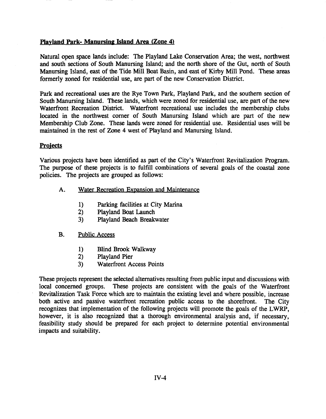#### Playland Park- Manursing Island Area (Zone 4)

Natural open space lands include: The Playland Lake Conservation Area; the west, northwest and south sections of South Manursing Island; and the north shore of the Gut, north of South Manursing Island, east of the Tide Mill Boat Basin, and east of Kirby Mill Pond. These areas formerly zoned for residential use, are part of the new Conservation District.

Park and recreational uses are the Rye Town Park, Playland Park, and the southern section of South Manursing Island. These lands, which were zoned for residential use, are part of the new Waterfront Recreation District. Waterfront recreational use includes the membership clubs located in the northwest comer of South Manursing Island which are part of the new Membership Club Zone. These lands were zoned for residential use. Residential uses will be maintained in the rest of ZOne 4 west of Playland and Manursing Island.

#### **Projects**

Various projects have been identified as part of the City's Waterfront Revitalization Program. The purpose of these projects is to fulfill combinations of several goals of the coastal zone policies. The projects are grouped as follows:

- A. Water Recreation Expansion and Maintenance
	- 1) Parking facilities at City Marina
	- 2) Playland Boat Launch
	- 3) Playland Beach Breakwater

#### B. Public Access

- 1) Blind Brook Walkway
- 2) Playland Pier
- 3) Waterfront Access Points

These projects represent the selected alternatives resulting from public input and discussions with local concerned groups. These projects are consistent with the goals of the Waterfront Revitalization Task Force which are to maintain the existing level and where possible, increase both active and passive waterfront recreation public access to the shorefront. The City recognizes that implementation of the following projects will promote the goals of the LWRP, however, it is also recognized that a thorough environmental analysis and, if necessary, feasibility study should be prepared for each project to determine potential environmental impacts and suitability.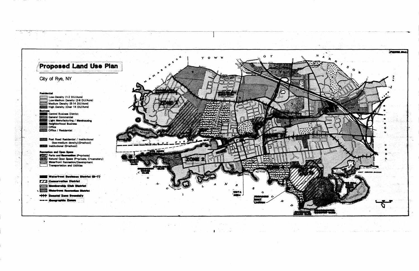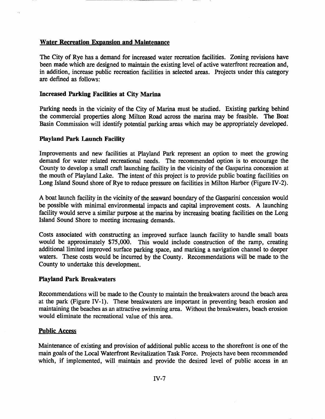## Water Recreation Expansion and Maintenance

The City of Rye has a demand for increased water recreation facilities. Zoning revisions have been made which are designed to maintain the existing level of active waterfront recreation and, in addition, increase public recreation facilities in selected areas. Projects under this category are defined as follows:

### Increased Parking Facilities at City Marina

Parking needs in the vicinity of the City of Marina must be studied. Existing parking behind the commercial properties along Milton Road across the marina may be feasible. The Boat Basin Commission will identify potential parking areas which may be appropriately developed.

#### Playland Park Launch Facility

Improvements and new facilities at Playland Park represent an option to meet the growing demand for water related recreational needs. The recommended option is to encourage the County to develop a small craft launching facility in the vicinity of the Gasparina concession at the mouth of Playland Lake. The intent of this project is to provide public boating facilities on Long Island Sound shore of Rye to reduce pressure on facilities in Milton Harbor (Figure IV-2).

A boat launch facility in the vicinity of the seaward boundary of the Gasparini concession would be possible with minimal environmental impacts and capital improvement costs. A launching facility would serve a similar purpose at the marina by increasing boating facilities on the Long Island Sound Shore to meeting increasing demands.

Costs associated with constructing an improved surface launch facility to handle small boats would be approximately \$75,000. This would include construction of the ramp, creating additional limited improved surface parking space, and marking a navigation channel to deeper waters. These costs would be incurred by the County. Recommendations will be made to the County to undertake this development.

#### Playland Park Breakwaters

Recommendations will be made to the County to maintain the breakwaters around the beach area at the park (Figure IV-I). These breakwaters are important in preventing beach erosion and maintaining the beaches as an attractive swimming area. Without the breakwaters, beach erosion would eliminate the recreational value of this area.

#### Public Access

Maintenance of existing and provision of additional public access to the shorefront is one of the main goals of the Local Waterfront Revitalization Task Force. Projects have been recommended which, if implemented, will maintain and provide the desired level of public access in an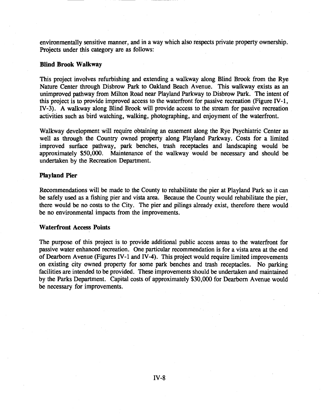environmentally sensitive manner, and in a way which also respects private property ownership. Projects under this category are as follows:

#### Blind Brook Walkway

This project involves refurbishing and extending a walkway along Blind Brook from the Rye Nature Center through Disbrow Park to Oakland Beach Avenue. This walkway exists as an unimproved pathway from Milton Road near Playland Parkway to Disbrow Park. The intent of this project is to provide improved access to the waterfront for passive recreation (Figure IV-I, IV-3). A walkway along Blind Brook will provide access to the stream for passive recreation activities such as bird watching, walking, photographing, and enjoyment of the waterfront.

Walkway development will require obtaining an easement along the Rye Psychiatric Center as well as through the Country owned property along Playland Parkway. Costs for a limited improved surface pathway, park benches, trash receptacles and landscaping would be approximately \$50,000. Maintenance of the walkway would be necessary and should be undertaken by the Recreation Department.

#### Playland Pier

Recommendations will be made to the County to rehabilitate the pier at Playland Park so it can be safely used as a fishing pier and vista area. Because the County would rehabilitate the pier, there would be no costs to the City. The pier and pilings already exist, therefore there would be no environmental impacts from the improvements.

#### Waterfront Access Points

The purpose of this project is to provide additional public access areas to the waterfront for passive water enhanced recreation. One particular recommendation is for a vista area at the end of Dearborn Avenue (Figures IV-I and IV-4). This project would require limited improvements on existing city owned property for some park benches and trash receptacles. No parking facilities are intended to be provided. These improvements should be undertaken and maintained by the Parks Department. Capital costs of approximately \$30,000 for Dearborn Avenue would be necessary for improvements.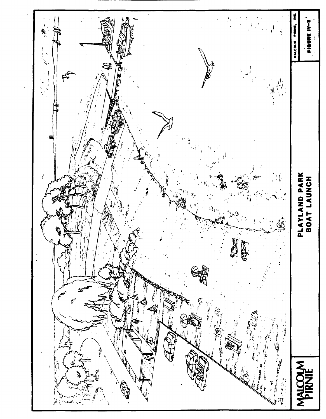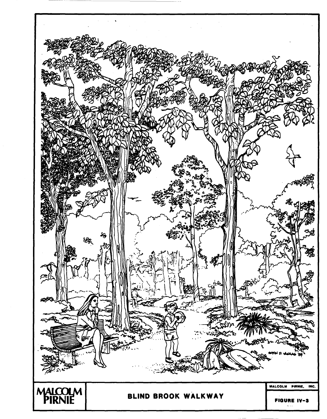